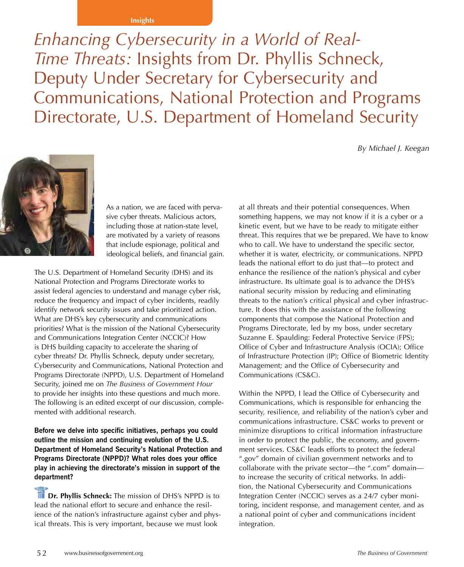#### **Insights**

*Enhancing Cybersecurity in a World of Real-Time Threats:* Insights from Dr. Phyllis Schneck, Deputy Under Secretary for Cybersecurity and Communications, National Protection and Programs Directorate, U.S. Department of Homeland Security

*By Michael J. Keegan*



As a nation, we are faced with pervasive cyber threats. Malicious actors, including those at nation-state level, are motivated by a variety of reasons that include espionage, political and ideological beliefs, and financial gain.

The U.S. Department of Homeland Security (DHS) and its National Protection and Programs Directorate works to assist federal agencies to understand and manage cyber risk, reduce the frequency and impact of cyber incidents, readily identify network security issues and take prioritized action. What are DHS's key cybersecurity and communications priorities? What is the mission of the National Cybersecurity and Communications Integration Center (NCCIC)? How is DHS building capacity to accelerate the sharing of cyber threats? Dr. Phyllis Schneck, deputy under secretary, Cybersecurity and Communications, National Protection and Programs Directorate (NPPD), U.S. Department of Homeland Security, joined me on *The Business of Government Hour* to provide her insights into these questions and much more. The following is an edited excerpt of our discussion, complemented with additional research.

**Before we delve into specific initiatives, perhaps you could outline the mission and continuing evolution of the U.S. Department of Homeland Security's National Protection and Programs Directorate (NPPD)? What roles does your office play in achieving the directorate's mission in support of the department?** 

*Dr. Phyllis Schneck:* The mission of DHS's NPPD is to lead the national effort to secure and enhance the resilience of the nation's infrastructure against cyber and physical threats. This is very important, because we must look

at all threats and their potential consequences. When something happens, we may not know if it is a cyber or a kinetic event, but we have to be ready to mitigate either threat. This requires that we be prepared. We have to know who to call. We have to understand the specific sector, whether it is water, electricity, or communications. NPPD leads the national effort to do just that—to protect and enhance the resilience of the nation's physical and cyber infrastructure. Its ultimate goal is to advance the DHS's national security mission by reducing and eliminating threats to the nation's critical physical and cyber infrastructure. It does this with the assistance of the following components that compose the National Protection and Programs Directorate, led by my boss, under secretary Suzanne E. Spaulding: Federal Protective Service (FPS); Office of Cyber and Infrastructure Analysis (OCIA); Office of Infrastructure Protection (IP); Office of Biometric Identity Management; and the Office of Cybersecurity and Communications (CS&C).

Within the NPPD, I lead the Office of Cybersecurity and Communications, which is responsible for enhancing the security, resilience, and reliability of the nation's cyber and communications infrastructure. CS&C works to prevent or minimize disruptions to critical information infrastructure in order to protect the public, the economy, and government services. CS&C leads efforts to protect the federal ".gov" domain of civilian government networks and to collaborate with the private sector—the ".com" domain to increase the security of critical networks. In addition, the National Cybersecurity and Communications Integration Center (NCCIC) serves as a 24/7 cyber monitoring, incident response, and management center, and as a national point of cyber and communications incident integration.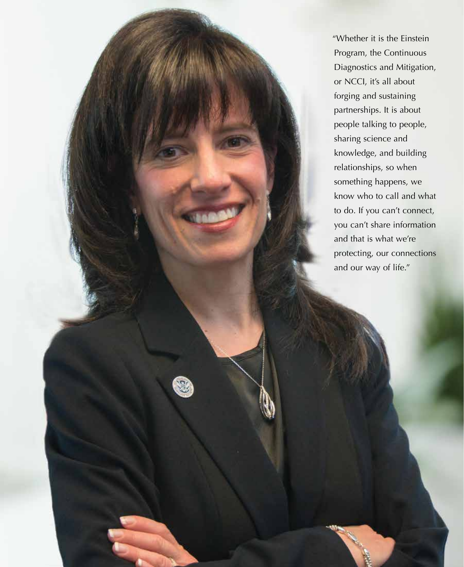"Whether it is the Einstein Program, the Continuous Diagnostics and Mitigation, or NCCI, it's all about forging and sustaining partnerships. It is about people talking to people, sharing science and knowledge, and building relationships, so when something happens, we know who to call and what to do. If you can't connect, you can't share information and that is what we're protecting, our connections and our way of life."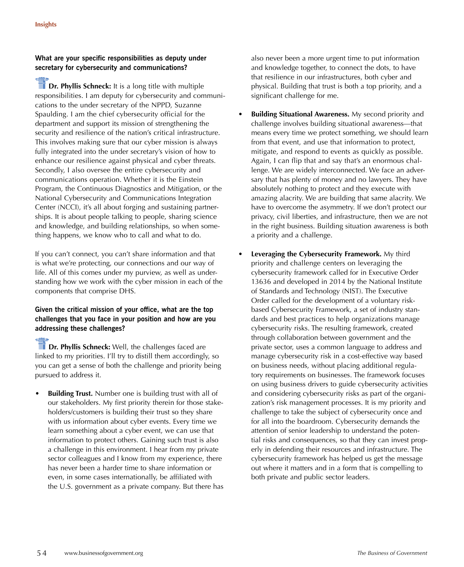# **What are your specific responsibilities as deputy under secretary for cybersecurity and communications?**

**The Dr. Phyllis Schneck:** It is a long title with multiple responsibilities. I am deputy for cybersecurity and communications to the under secretary of the NPPD, Suzanne Spaulding. I am the chief cybersecurity official for the department and support its mission of strengthening the security and resilience of the nation's critical infrastructure. This involves making sure that our cyber mission is always fully integrated into the under secretary's vision of how to enhance our resilience against physical and cyber threats. Secondly, I also oversee the entire cybersecurity and communications operation. Whether it is the Einstein Program, the Continuous Diagnostics and Mitigation, or the National Cybersecurity and Communications Integration Center (NCCI), it's all about forging and sustaining partnerships. It is about people talking to people, sharing science and knowledge, and building relationships, so when something happens, we know who to call and what to do.

If you can't connect, you can't share information and that is what we're protecting, our connections and our way of life. All of this comes under my purview, as well as understanding how we work with the cyber mission in each of the components that comprise DHS.

## **Given the critical mission of your office, what are the top challenges that you face in your position and how are you addressing these challenges?**

 **Dr. Phyllis Schneck:** Well, the challenges faced are linked to my priorities. I'll try to distill them accordingly, so you can get a sense of both the challenge and priority being pursued to address it.

**Building Trust.** Number one is building trust with all of our stakeholders. My first priority therein for those stakeholders/customers is building their trust so they share with us information about cyber events. Every time we learn something about a cyber event, we can use that information to protect others. Gaining such trust is also a challenge in this environment. I hear from my private sector colleagues and I know from my experience, there has never been a harder time to share information or even, in some cases internationally, be affiliated with the U.S. government as a private company. But there has

also never been a more urgent time to put information and knowledge together, to connect the dots, to have that resilience in our infrastructures, both cyber and physical. Building that trust is both a top priority, and a significant challenge for me.

- **Building Situational Awareness.** My second priority and challenge involves building situational awareness—that means every time we protect something, we should learn from that event, and use that information to protect, mitigate, and respond to events as quickly as possible. Again, I can flip that and say that's an enormous challenge. We are widely interconnected. We face an adversary that has plenty of money and no lawyers. They have absolutely nothing to protect and they execute with amazing alacrity. We are building that same alacrity. We have to overcome the asymmetry. If we don't protect our privacy, civil liberties, and infrastructure, then we are not in the right business. Building situation awareness is both a priority and a challenge.
- **Leveraging the Cybersecurity Framework.** My third priority and challenge centers on leveraging the cybersecurity framework called for in Executive Order 13636 and developed in 2014 by the National Institute of Standards and Technology (NIST). The Executive Order called for the development of a voluntary riskbased Cybersecurity Framework, a set of industry standards and best practices to help organizations manage cybersecurity risks. The resulting framework, created through collaboration between government and the private sector, uses a common language to address and manage cybersecurity risk in a cost-effective way based on business needs, without placing additional regulatory requirements on businesses. The framework focuses on using business drivers to guide cybersecurity activities and considering cybersecurity risks as part of the organization's risk management processes. It is my priority and challenge to take the subject of cybersecurity once and for all into the boardroom. Cybersecurity demands the attention of senior leadership to understand the potential risks and consequences, so that they can invest properly in defending their resources and infrastructure. The cybersecurity framework has helped us get the message out where it matters and in a form that is compelling to both private and public sector leaders.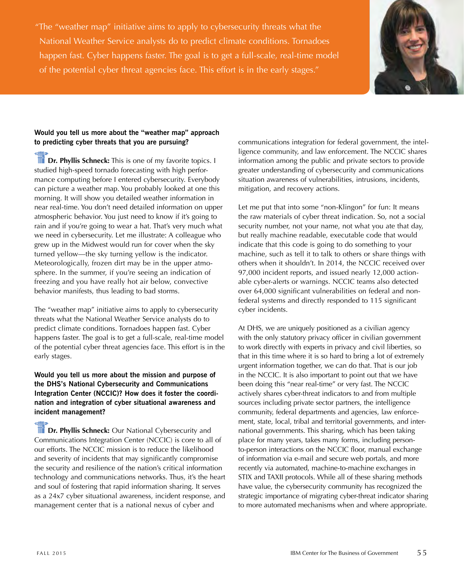"The "weather map" initiative aims to apply to cybersecurity threats what the National Weather Service analysts do to predict climate conditions. Tornadoes happen fast. Cyber happens faster. The goal is to get a full-scale, real-time model of the potential cyber threat agencies face. This effort is in the early stages."



## **Would you tell us more about the "weather map" approach to predicting cyber threats that you are pursuing?**

**Dr. Phyllis Schneck:** This is one of my favorite topics. I studied high-speed tornado forecasting with high performance computing before I entered cybersecurity. Everybody can picture a weather map. You probably looked at one this morning. It will show you detailed weather information in near real-time. You don't need detailed information on upper atmospheric behavior. You just need to know if it's going to rain and if you're going to wear a hat. That's very much what we need in cybersecurity. Let me illustrate: A colleague who grew up in the Midwest would run for cover when the sky turned yellow—the sky turning yellow is the indicator. Meteorologically, frozen dirt may be in the upper atmosphere. In the summer, if you're seeing an indication of freezing and you have really hot air below, convective behavior manifests, thus leading to bad storms.

The "weather map" initiative aims to apply to cybersecurity threats what the National Weather Service analysts do to predict climate conditions. Tornadoes happen fast. Cyber happens faster. The goal is to get a full-scale, real-time model of the potential cyber threat agencies face. This effort is in the early stages.

#### **Would you tell us more about the mission and purpose of the DHS's National Cybersecurity and Communications Integration Center (NCCIC)? How does it foster the coordination and integration of cyber situational awareness and incident management?**

**Dr. Phyllis Schneck:** Our National Cybersecurity and Communications Integration Center (NCCIC) is core to all of our efforts. The NCCIC mission is to reduce the likelihood and severity of incidents that may significantly compromise the security and resilience of the nation's critical information technology and communications networks. Thus, it's the heart and soul of fostering that rapid information sharing. It serves as a 24x7 cyber situational awareness, incident response, and management center that is a national nexus of cyber and

communications integration for federal government, the intelligence community, and law enforcement. The NCCIC shares information among the public and private sectors to provide greater understanding of cybersecurity and communications situation awareness of vulnerabilities, intrusions, incidents, mitigation, and recovery actions.

Let me put that into some "non-Klingon" for fun: It means the raw materials of cyber threat indication. So, not a social security number, not your name, not what you ate that day, but really machine readable, executable code that would indicate that this code is going to do something to your machine, such as tell it to talk to others or share things with others when it shouldn't. In 2014, the NCCIC received over 97,000 incident reports, and issued nearly 12,000 actionable cyber-alerts or warnings. NCCIC teams also detected over 64,000 significant vulnerabilities on federal and nonfederal systems and directly responded to 115 significant cyber incidents.

At DHS, we are uniquely positioned as a civilian agency with the only statutory privacy officer in civilian government to work directly with experts in privacy and civil liberties, so that in this time where it is so hard to bring a lot of extremely urgent information together, we can do that. That is our job in the NCCIC. It is also important to point out that we have been doing this "near real-time" or very fast. The NCCIC actively shares cyber-threat indicators to and from multiple sources including private sector partners, the intelligence community, federal departments and agencies, law enforcement, state, local, tribal and territorial governments, and international governments. This sharing, which has been taking place for many years, takes many forms, including personto-person interactions on the NCCIC floor, manual exchange of information via e-mail and secure web portals, and more recently via automated, machine-to-machine exchanges in STIX and TAXII protocols. While all of these sharing methods have value, the cybersecurity community has recognized the strategic importance of migrating cyber-threat indicator sharing to more automated mechanisms when and where appropriate.